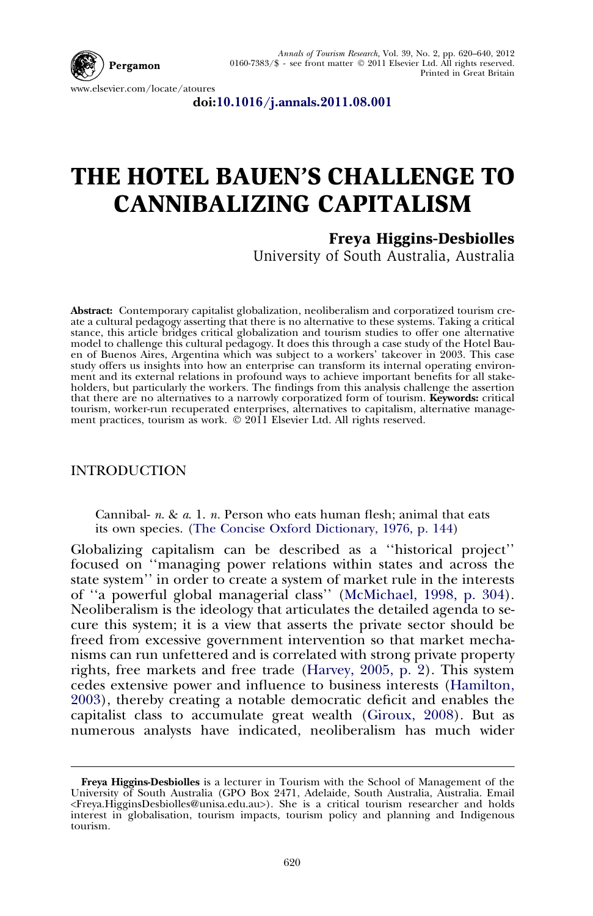

doi[:10.1016/j.annals.2011.08.001](http://dx.doi.org/10.1016/j.annals.2011.08.001)

## THE HOTEL BAUEN'S CHALLENGE TO CANNIBALIZING CAPITALISM

## Freya Higgins-Desbiolles

University of South Australia, Australia

Abstract: Contemporary capitalist globalization, neoliberalism and corporatized tourism create a cultural pedagogy asserting that there is no alternative to these systems. Taking a critical stance, this article bridges critical globalization and tourism studies to offer one alternative model to challenge this cultural pedagogy. It does this through a case study of the Hotel Bauen of Buenos Aires, Argentina which was subject to a workers' takeover in 2003. This case study offers us insights into how an enterprise can transform its internal operating environment and its external relations in profound ways to achieve important benefits for all stakeholders, but particularly the workers. The findings from this analysis challenge the assertion that there are no alternatives to a narrowly corporatized form of tourism. Keywords: critical tourism, worker-run recuperated enterprises, alternatives to capitalism, alternative manage-<br>ment practices, tourism as work. © 2011 Elsevier Ltd. All rights reserved.

## **INTRODUCTION**

Cannibal-  $n. \& a. 1. n.$  Person who eats human flesh; animal that eats its own species. [\(The Concise Oxford Dictionary, 1976, p. 144](#page--1-0))

Globalizing capitalism can be described as a ''historical project'' focused on ''managing power relations within states and across the state system'' in order to create a system of market rule in the interests of ''a powerful global managerial class'' [\(McMichael, 1998, p. 304\)](#page--1-0). Neoliberalism is the ideology that articulates the detailed agenda to secure this system; it is a view that asserts the private sector should be freed from excessive government intervention so that market mechanisms can run unfettered and is correlated with strong private property rights, free markets and free trade [\(Harvey, 2005, p. 2\)](#page--1-0). This system cedes extensive power and influence to business interests [\(Hamilton,](#page--1-0) [2003](#page--1-0)), thereby creating a notable democratic deficit and enables the capitalist class to accumulate great wealth [\(Giroux, 2008\)](#page--1-0). But as numerous analysts have indicated, neoliberalism has much wider

Freya Higgins-Desbiolles is a lecturer in Tourism with the School of Management of the<br>University of South Australia (GPO Box 2471, Adelaide, South Australia, Australia. Email<br>Freya.HigginsDesbiolles@unisa.edu.au>). She is interest in globalisation, tourism impacts, tourism policy and planning and Indigenous tourism.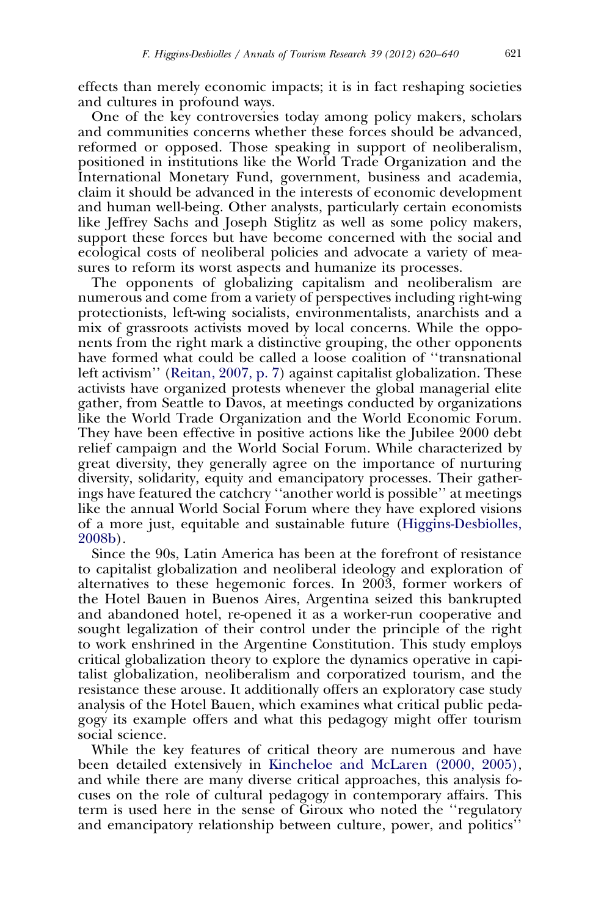effects than merely economic impacts; it is in fact reshaping societies and cultures in profound ways.

One of the key controversies today among policy makers, scholars and communities concerns whether these forces should be advanced, reformed or opposed. Those speaking in support of neoliberalism, positioned in institutions like the World Trade Organization and the International Monetary Fund, government, business and academia, claim it should be advanced in the interests of economic development and human well-being. Other analysts, particularly certain economists like Jeffrey Sachs and Joseph Stiglitz as well as some policy makers, support these forces but have become concerned with the social and ecological costs of neoliberal policies and advocate a variety of measures to reform its worst aspects and humanize its processes.

The opponents of globalizing capitalism and neoliberalism are numerous and come from a variety of perspectives including right-wing protectionists, left-wing socialists, environmentalists, anarchists and a mix of grassroots activists moved by local concerns. While the opponents from the right mark a distinctive grouping, the other opponents have formed what could be called a loose coalition of ''transnational left activism'' [\(Reitan, 2007, p. 7](#page--1-0)) against capitalist globalization. These activists have organized protests whenever the global managerial elite gather, from Seattle to Davos, at meetings conducted by organizations like the World Trade Organization and the World Economic Forum. They have been effective in positive actions like the Jubilee 2000 debt relief campaign and the World Social Forum. While characterized by great diversity, they generally agree on the importance of nurturing diversity, solidarity, equity and emancipatory processes. Their gatherings have featured the catchcry ''another world is possible'' at meetings like the annual World Social Forum where they have explored visions of a more just, equitable and sustainable future [\(Higgins-Desbiolles,](#page--1-0) [2008b](#page--1-0)).

Since the 90s, Latin America has been at the forefront of resistance to capitalist globalization and neoliberal ideology and exploration of alternatives to these hegemonic forces. In 2003, former workers of the Hotel Bauen in Buenos Aires, Argentina seized this bankrupted and abandoned hotel, re-opened it as a worker-run cooperative and sought legalization of their control under the principle of the right to work enshrined in the Argentine Constitution. This study employs critical globalization theory to explore the dynamics operative in capitalist globalization, neoliberalism and corporatized tourism, and the resistance these arouse. It additionally offers an exploratory case study analysis of the Hotel Bauen, which examines what critical public pedagogy its example offers and what this pedagogy might offer tourism social science.

While the key features of critical theory are numerous and have been detailed extensively in [Kincheloe and McLaren \(2000, 2005\),](#page--1-0) and while there are many diverse critical approaches, this analysis focuses on the role of cultural pedagogy in contemporary affairs. This term is used here in the sense of Giroux who noted the ''regulatory and emancipatory relationship between culture, power, and politics''